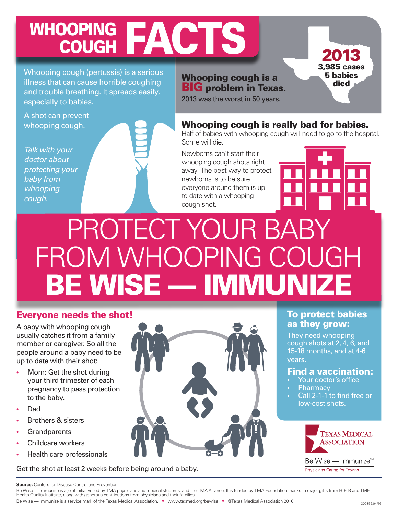### WHOOPING FACTS **COUGH**

Whooping cough (pertussis) is a serious illness that can cause horrible coughing and trouble breathing. It spreads easily, especially to babies.

A shot can prevent whooping cough.

*Talk with your doctor about protecting your baby from whooping cough.*

Whooping cough is a BIG problem in Texas.

2013 was the worst in 50 years.

### Whooping cough is really bad for babies.

Half of babies with whooping cough will need to go to the hospital. Some will die.

Newborns can't start their whooping cough shots right away. The best way to protect newborns is to be sure everyone around them is up to date with a whooping cough shot.

2013 3,985 cases 5 babies died

## PROTECT YOUR BA FROM WHOOPING COUGH **BE WISE — IMMUNIZE**

### Everyone needs the shot!

A baby with whooping cough usually catches it from a family member or caregiver. So all the people around a baby need to be up to date with their shot:

- **•** Mom: Get the shot during your third trimester of each pregnancy to pass protection to the baby.
- Dad
- Brothers & sisters
- Grandparents
- Childcare workers
- **Health care professionals**

Get the shot at least 2 weeks before being around a baby.



### To protect babies as they grow:

They need whooping cough shots at 2, 4, 6, and 15-18 months, and at 4-6 years.

### Find a vaccination:

- Your doctor's office
- **Pharmacy**
- Call 2-1-1 to find free or low-cost shots.



Be Wise — Immunize<sup>™</sup> Physicians Caring for Texans

Be Wise — Immunize is a service mark of the Texas Medical Association. • www.texmed.org/bewise • ©Texas Medical Association 2016 300359.04/16

**Source:** Centers for Disease Control and Prevention

Be Wise — Immunize is a joint initiative led by TMA physicians and medical students, and the TMA Alliance. It is funded by TMA Foundation thanks to major gifts from H-E-B and TMF Health Quality Institute, along with generous contributions from physicians and their families.